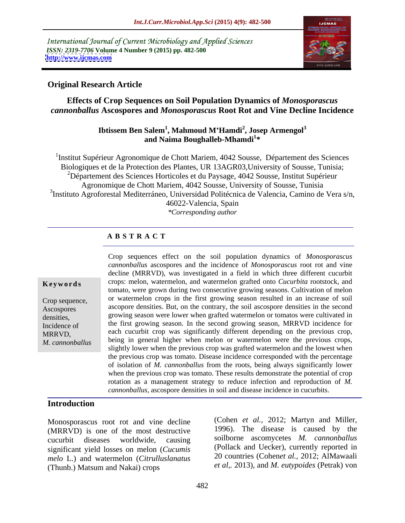International Journal of Current Microbiology and Applied Sciences *ISSN: 2319-7706* **Volume 4 Number 9 (2015) pp. 482-500 <http://www.ijcmas.com>**



### **Original Research Article**

**Effects of Crop Sequences on Soil Population Dynamics of** *Monosporascus cannonballus* **Ascospores and** *Monosporascus* **Root Rot and Vine Decline Incidence**

### Ibtissem Ben Salem<sup>1</sup>, Mahmoud M'Hamdi<sup>2</sup>, Josep Armengol<sup>3</sup> **, Mahmoud M Hamdi<sup>2</sup> , Josep Armengol<sup>3</sup> and Naima Boughalleb-Mhamdi<sup>1</sup> \***

<sup>1</sup>Institut Supérieur Agronomique de Chott Mariem, 4042 Sousse, Département des Sciences Biologiques et de la Protection des Plantes, UR 13AGR03,University of Sousse, Tunisia; <sup>2</sup>Département des Sciences Horticoles et du Paysage, 4042 Sousse, Institut Supérieur Agronomique de Chott Mariem, 4042 Sousse, University of Sousse, Tunisia 3 Instituto Agroforestal Mediterráneo, Universidad Politécnica de Valencia, Camino de Vera s/n, 46022-Valencia, Spain *\*Corresponding author*

# **A B S T R A C T**

Crop sequences effect on the soil population dynamics of *Monosporascus cannonballus* ascospores and the incidence of *Monosporascus* root rot and vine decline (MRRVD), was investigated in a field in which three different cucurbit **Keywords** crops: melon, watermelon, and watermelon grafted onto *Cucurbita* rootstock, and tomato, were grown during two consecutive growing seasons. Cultivation of melon or watermelon crops in the first growing season resulted in an increase of soil Crop sequence, Ascospores ascopore densities. But, on the contrary, the soil ascospore densities in the second densities, growing season were lower when grafted watermelon or tomatos were cultivated in Incidence of the first growing season. In the second growing season, MRRVD incidence for each cucurbit crop was significantly different depending on the previous crop, each cucurbit crop was significantly different depending on the previous crop, being in general higher when melon or watermelon were the previous crops, *M. cannonballus*slightly lower when the previous crop was grafted watermelon and the lowest when the previous crop was tomato. Disease incidence corresponded with the percentage of isolation of *M. cannonballus* from the roots, being always significantly lower when the previous crop was tomato. These results demonstrate the potential of crop rotation as a management strategy to reduce infection and reproduction of *M. cannonballus*, ascospore densities in soil and disease incidence in cucurbits.

### **Introduction**

(MRRVD) is one of the most destructive cucurbit diseases worldwide, causing soilborne ascomycetes *M. cannonballus* significant yield losses on melon (*Cucumis melo* L.) and watermelon (*Citrulluslanatus* (Thunb.) Matsum and Nakai) crops

Monosporascus root rot and vine decline (Cohen *et al.*, 2012; Martyn and Miller,  $(MRRV)$  is one of the most destructive 1996). The disease is caused by the (Cohen *et al.,* 2012; Martyn and Miller, 1996). The disease is caused by the (Pollack and Uecker), currently reported in 20 countries (Cohen*et al.,* 2012; AlMawaali *et al,.* 2013), and *M. eutypoides* (Petrak) von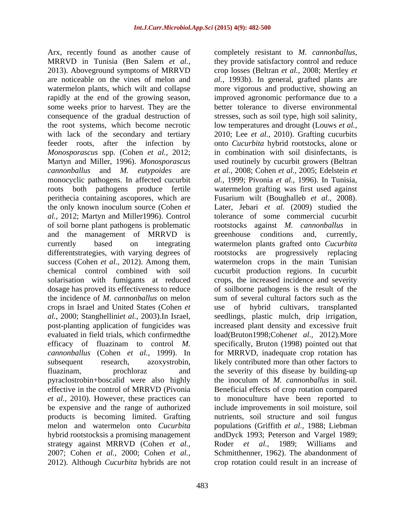Arx, recently found as another cause of completely resistant to *M. cannonballus*, MRRVD in Tunisia (Ben Salem *et al.,* 2013). Aboveground symptoms of MRRVD crop losses (Beltran *et al.,* 2008; Mertley *et*  are noticeable on the vines of melon and *al.,* 1993b). In general, grafted plants are watermelon plants, which wilt and collapse more vigorous and productive, showing an rapidly at the end of the growing season, improved agronomic performance due to a some weeks prior to harvest. They are the better tolerance to diverse environmental consequence of the gradual destruction of stresses, such as soil type, high soil salinity, the root systems, which become necrotic low temperatures and drought (Louws *et al.,* with lack of the secondary and tertiary 2010; Lee *et al.,* 2010). Grafting cucurbits feeder roots, after the infection by onto *Cucurbita* hybrid rootstocks, alone or *Monosporascus* spp. (Cohen *et al.,* 2012; Martyn and Miller, 1996). *Monosporascus*  used routinely by cucurbit growers (Beltran *cannonballus* and *M. eutypoides* are *et al.,* 2008; Cohen *et al.,* 2005; Edelstein *et*  monocyclic pathogens. In affected cucurbit *al.,* 1999; Pivonia *et al.,* 1996). In Tunisia, roots both pathogens produce fertile watermelon grafting was first used against perithecia containing ascopores, which are Fusarium wilt (Boughalleb *et al.,* 2008). the only known inoculum source (Cohen *et al.,* 2012; Martyn and Miller1996). Control tolerance of some commercial cucurbit of soil borne plant pathogens is problematic rootstocks against *M. cannonballus* in and the management of MRRVD is greenhouse conditions and, currently, currently based on integrating watermelon plants grafted onto *Cucurbita*  different strategies, with varying degrees of cootstocks are progressively replacing success (Cohen *et al.,* 2012). Among them, watermelon crops in the main Tunisian chemical control combined with soil cucurbit production regions. In cucurbit solarisation with fumigants at reduced crops, the increased incidence and severity dosage has proved its effectiveness to reduce of soilborne pathogens is the result of the the incidence of *M. cannonballus* on melon sum of several cultural factors such as the crops in Israel and United States (Cohen *et al.,* 2000; Stanghellini*et al.,* 2003).In Israel, seedlings, plastic mulch, drip irrigation, post-planting application of fungicides was increased plant density and excessive fruit evaluated in field trials, which confirmedthe load(Bruton1998;Cohen*et al.,* 2012).More efficacy of fluazinam to control *M.*  specifically, Bruton (1998) pointed out that *cannonballus* (Cohen *et al.,* 1999). In for MRRVD, inadequate crop rotation has subsequent research, azoxystrobin, likely contributed more than other factors to fluazinam, prochloraz and the severity of this disease by building-up pyraclostrobin+boscalid were also highly the inoculum of *M. cannonballus* in soil. effective in the control of MRRVD (Pivonia Beneficial effects of crop rotation compared *et al.,* 2010). However, these practices can to monoculture have been reported to be expensive and the range of authorized products is becoming limited. Grafting nutrients, soil structure and soil fungus melon and watermelon onto *Cucurbita*  populations (Griffith *et al.,* 1988; Liebman hybrid rootstocksis a promising management andDyck 1993; Peterson and Vargel 1989; strategy against MRRVD (Cohen *et al.,* 2007; Cohen *et al.,* 2000; Cohen *et al.,* Schmitthenner, 1962). The abandonment of

2012). Although *Cucurbita* hybrids are not crop rotation could result in an increase ofcompletely resistant to *M. cannonballus*, they provide satisfactory control and reduce in combination with soil disinfectants, is Later, Jebari *et al.* (2009) studied the greenhouse conditions and, currently, rootstocks are progressively replacing use of hybrid cultivars, include improvements in soil moisture, soil Roder *et al.,* 1989; Williams and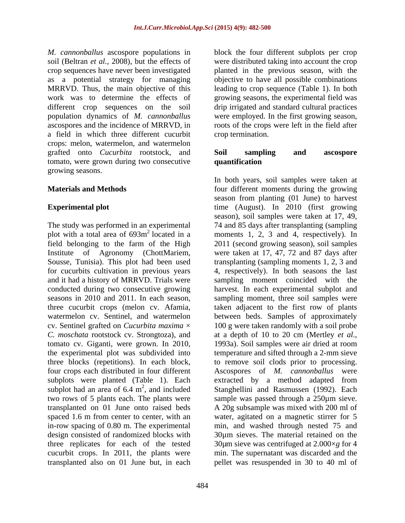*M. cannonballus* ascospore populations in as a potential strategy for managing a field in which three different cucurbit crops: melon, watermelon, and watermelon grafted onto *Cucurbita* rootstock, and tomato, were grown during two consecutive growing seasons.

Institute of Agronomy (ChottMariem, three cucurbit crops (melon cv. Afamia, subplots were planted (Table 1). Each in-row spacing of 0.80 m. The experimental design consisted of randomized blocks with transplanted also on 01 June but, in each pellet was resuspended in 30 to 40 ml of

soil (Beltran *et al.,* 2008), but the effects of were distributed taking into account the crop crop sequences have never been investigated planted in the previous season, with the MRRVD. Thus, the main objective of this leading to crop sequence (Table 1). In both work was to determine the effects of growing seasons, the experimental field was different crop sequences on the soil drip irrigated and standard cultural practices population dynamics of *M. cannonballus* were employed. In the first growing season, ascospores and the incidence of MRRVD, in roots of the crops were left in the field after block the four different subplots per crop objective to have all possible combinations crop termination.

### **Soil sampling and ascospore quantification**

**Materials and Methods** *four different moments during the growing* **Experimental plot**  time (August). In 2010 (first growing The study was performed in an experimental 74 and 85 days after transplanting (sampling plot with a total area of 693m<sup>2</sup> located in a moments 1, 2, 3 and 4, respectively). In field belonging to the farm of the High 2011 (second growing season), soil samples Sousse, Tunisia). This plot had been used transplanting (sampling moments 1, 2, 3 and for cucurbits cultivation in previous years 4, respectively). In both seasons the last and it had a history of MRRVD. Trials were sampling moment coincided with the conducted during two consecutive growing harvest. In each experimental subplot and seasons in 2010 and 2011. In each season, sampling moment, three soil samples were watermelon cv. Sentinel, and watermelon between beds. Samples of approximately cv. Sentinel grafted on *Cucurbita maxima* × 100 g were taken randomly with a soil probe *C. moschata* rootstock cv. Strongtoza), and at a depth of 10 to 20 cm (Mertley *et al.,* tomato cv. Giganti, were grown. In 2010, 1993a). Soil samples were air dried at room the experimental plot was subdivided into temperature and sifted through a 2-mm sieve three blocks (repetitions). In each block, to remove soil clods prior to processing. four crops each distributed in four different Ascospores of *M. cannonballus* were subplot had an area of  $6.4 \text{ m}^2$ , and included Stanghellini and Rasmussen (1992). Each two rows of 5 plants each. The plants were sample was passed through a 250µm sieve. transplanted on 01 June onto raised beds A 20g subsample was mixed with 200 ml of spaced 1.6 m from center to center, with an water, agitated on a magnetic stirrer for 5 three replicates for each of the tested 30µm sieve was centrifuged at 2.000×*g* for 4 cucurbit crops. In 2011, the plants were min. The supernatant was discarded and the In both years, soil samples were taken at season from planting (01 June) to harvest season), soil samples were taken at 17, 49, were taken at 17, 47, 72 and 87 days after taken adjacent to the first row of plants extracted by a method adapted from min, and washed through nested 75 and 30µm sieves. The material retained on the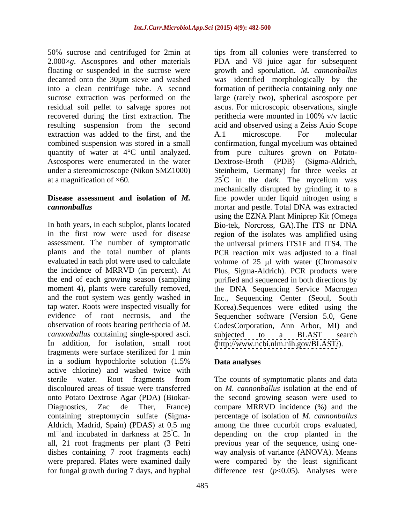recovered during the first extraction. The perithecia were mounted in 100% v/v lactic extraction was added to the first, and the A.1 microscope. For molecular combined suspension was stored in a small at a magnification of  $\times 60$ . 25<sup>°</sup>C in the dark. The mycelium was

the end of each growing season (sampling *cannonballus* containing single-spored asci. subjected to a BLAST search In addition, for isolation, small root [\(http://www.ncbi.nlm.nih.gov/BLAST/](http://www.ncbi.nlm.nih.gov/BLAST/)). fragments were surface sterilized for 1 min in a sodium hypochlorite solution (1.5% **Data analyses** active chlorine) and washed twice with sterile water. Root fragments from The counts of symptomatic plants and data discoloured areas of tissue were transferred on *M. cannonballus* isolation at the end of onto Potato Dextrose Agar (PDA) (Biokar- the second growing season were used to Diagnostics, Zac de Ther, France) compare MRRVD incidence (%) and the containing streptomycin sulfate (Sigma- percentage of isolation of *M. cannonballus* Aldrich, Madrid, Spain) (PDAS) at 0.5 mg among the three cucurbit crops evaluated,  $ml$ <sup>-1</sup> and incubated in darkness at  $25^{\circ}$ C. In depending on the crop planted in the all, 21 root fragments per plant (3 Petri dishes containing 7 root fragments each) way analysis of variance (ANOVA). Means were prepared. Plates were examined daily were compared by the least significant for fungal growth during 7 days, and hyphal difference test (*p*<0.05). Analyses were

50% sucrose and centrifuged for 2min at tips from all colonies were transferred to 2.000×*g*. Ascospores and other materials PDA and V8 juice agar for subsequent floating or suspended in the sucrose were growth and sporulation. *M. cannonballus* decanted onto the 30µm sieve and washed was identified morphologically by the into a clean centrifuge tube. A second formation of perithecia containing only one sucrose extraction was performed on the large (rarely two), spherical ascospore per residual soil pellet to salvage spores not ascus. For microscopic observations, single resulting suspension from the second acid and observed using a Zeiss Axio Scope quantity of water at 4°C until analyzed. from pure cultures grown on Potato- Ascospores were enumerated in the water Dextrose-Broth (PDB) (Sigma-Aldrich, under a stereomicroscope (Nikon SMZ1000) Steinheim, Germany) for three weeks at **Disease assessment and isolation of** *M.*  fine powder under liquid nitrogen using a *cannonballus* mortar and pestle. Total DNA was extracted In both years, in each subplot, plants located Bio-tek, Norcross, GA).The ITS nr DNA in the first row were used for disease region of the isolates was amplified using assessment. The number of symptomatic the universal primers ITS1F and ITS4. The plants and the total number of plants PCR reaction mix was adjusted to a final evaluated in each plot were used to calculate volume of 25 µl with water (Chromasolv the incidence of MRRVD (in percent). At Plus, Sigma-Aldrich). PCR products were moment 4), plants were carefully removed, the DNA Sequencing Service Macrogen and the root system was gently washed in Inc., Sequencing Center (Seoul, South tap water. Roots were inspected visually for Korea).Sequences were edited using the evidence of root necrosis, and the Sequencher software (Version 5.0, Gene observation of roots bearing perithecia of *M.*  CodesCorporation, Ann Arbor, MI) and perithecia were mounted in 100% v/v lactic A.1 microscope. For molecular confirmation, fungal mycelium was obtained  $25^{\circ}$ C in the dark. The mycelium was mechanically disrupted by grinding it to a using the EZNA Plant Miniprep Kit (Omega purified and sequenced in both directions by subjected to a BLAST search

# **Data analyses**

The counts of symptomatic plants and data previous year of the sequence, using one-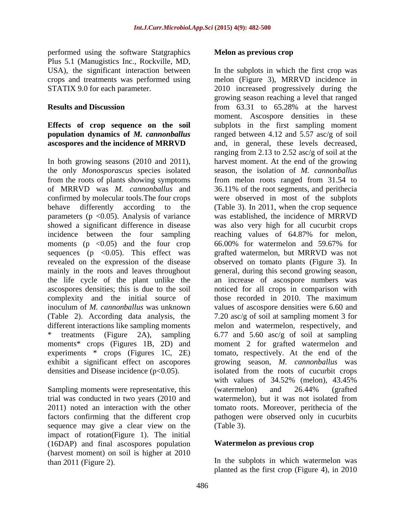performed using the software Statgraphics **Melon as previous crop** Plus 5.1 (Manugistics Inc., Rockville, MD,

In both growing seasons (2010 and 2011), the only *Monosporascus* species isolated from the roots of plants showing symptoms moments ( $p \leq 0.05$ ) and the four crop 66.00% for watermelon and 59.67% for sequences ( $p \leq 0.05$ ). This effect was ascospores densities; this is due to the soil complexity and the initial source of those recorded in 2010. The maximum exhibit a significant effect on ascopores

Sampling moments were representative, this (watermelon) and 26.44% (grafted sequence may give a clear view on the (Table 3). impact of rotation(Figure 1). The initial (16DAP) and final ascospores population (harvest moment) on soil is higher at 2010

### **Melon as previous crop**

USA), the significant interaction between In the subplots in which the first crop was crops and treatments was performed using melon (Figure 3), MRRVD incidence in STATIX 9.0 for each parameter. 2010 increased progressively during the **Results and Discussion** from 63.31 to 65.28% at the harvest **Effects of crop sequence on the soil** subplots in the first sampling moment **population dynamics of** *M. cannonballus* ranged between 4.12 and 5.57 asc/g of soil **ascospores and the incidence of MRRVD** and, in general, these levels decreased, of MRRVD was *M. cannonballus* and 36.11% ofthe root segments, and perithecia confirmed by molecular tools.The four crops were observed in most of the subplots behave differently according to the (Table 3). In 2011, when the crop sequence parameters (p <0.05). Analysis of variance was established, the incidence of MRRVD showed a significant difference in disease was also very high for all cucurbit crops incidence between the four sampling reaching values of 64.87% for melon, revealed on the expression of the disease observed on tomato plants (Figure 3). In mainly in the roots and leaves throughout general, during this second growing season, the life cycle of the plant unlike the an increase of ascospore numbers was inoculum of *M. cannonballus* was unknown values of ascospore densities were 6.60 and (Table 2). According data analysis, the 7.20 asc/g of soil at sampling moment 3 for different interactions like sampling moments melon and watermelon, respectively, and \* treatments (Figure 2A), sampling 6.77 and 5.60 asc/g of soil at sampling moments\* crops (Figures 1B, 2D) and moment 2 for grafted watermelon and experiments \* crops (Figures 1C, 2E) tomato, respectively. At the end of the densities and Disease incidence (p<0.05). isolated from the roots of cucurbit crops trial was conducted in two years (2010 and watermelon), but it was not isolated from 2011) noted an interaction with the other tomato roots. Moreover, perithecia of the factors confirming that the different crop pathogen were observed only in cucurbits growing season reaching a level that ranged moment. Ascospore densities in these ranging from 2.13 to 2.52 asc/g of soil at the harvest moment. At the end of the growing season, the isolation of *M. cannonballus* from melon roots ranged from 31.54 to 66.00% for watermelon and 59.67% for grafted watermelon, but MRRVD was not noticed for all crops in comparison with those recorded in 2010. The maximum growing season, *M. cannonballus* was with values of 34.52% (melon), 43.45% (watermelon) and 26.44% (grafted (Table 3).

# **Watermelon as previous crop**

than 2011 (Figure 2). In the subplots in which watermelon was planted as the first crop (Figure 4), in 2010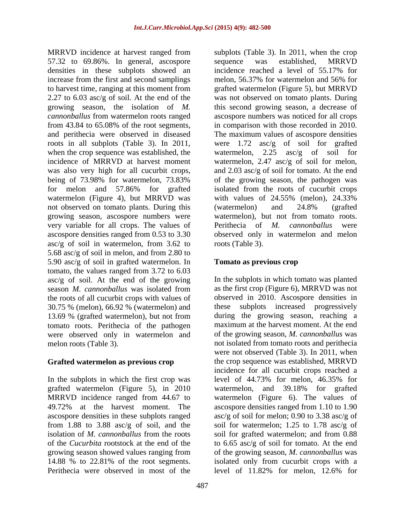57.32 to 69.86%. In general, ascospore densities in these subplots showed an incidence reached a level of 55.17% for increase from the first and second samplings melon, 56.37% for watermelon and 56% for watermelon (Figure 4), but MRRVD was with values of 24.55% (melon), 24.33% not observed on tomato plants. During this (watermelon) and 24.8% (grafted growing season, ascospore numbers were watermelon), but not from tomato roots. very variable for all crops. The values of Perithecia of M. cannonballus were  $asc/g$  of soil in watermelon, from 3.62 to roots (Table 3). 5.68 asc/g of soil in melon, and from 2.80 to 5.90 asc/g of soil in grafted watermelon. In **Tomato as previous crop** tomato, the values ranged from 3.72 to 6.03 asc/g of soil. At the end of the growing season *M. cannonballus* was isolated from the roots of all cucurbit crops with values of 30.75 % (melon), 66.92 % (watermelon) and 13.69 % (grafted watermelon), but not from tomato roots. Perithecia of the pathogen were observed only in watermelon and

In the subplots in which the first crop was level of 44.73% for melon, 46.35% for grafted watermelon (Figure 5), in 2010 ascospore densities in these subplots ranged Perithecia were observed in most of the level of 11.82% for melon, 12.6% for

MRRVD incidence at harvest ranged from subplots (Table 3). In 2011, when the crop to harvest time, ranging at this moment from grafted watermelon (Figure 5), but MRRVD 2.27 to 6.03 asc/g of soil. At the end of the was not observed on tomato plants. During growing season, the isolation of *M.*  this second growing season, a decrease of *cannonballus* from watermelon roots ranged ascospore numbers was noticed for all crops from 43.84 to 65.08% of the root segments, in comparison with those recorded in 2010. and perithecia were observed in diseased The maximum values of ascospore densities roots in all subplots (Table 3). In 2011, were 1.72 asc/g of soil for grafted when the crop sequence was established, the  $w$ atermelon, 2.25 asc/g of soil for incidence of MRRVD at harvest moment watermelon, 2.47 asc/g of soil for melon, was also very high for all cucurbit crops, and 2.03 asc/g of soil for tomato. At the end being of 73.98% for watermelon, 73.83% of the growing season, the pathogen was for melon and 57.86% for grafted isolated from the roots of cucurbit crops ascospore densities ranged from 0.53 to 3.30 observed only in watermelon and melon sequence was established, MRRVD incidence reached a level of 55.17% for melon, 56.37% for watermelon and 56% for with values of 24.55% (melon), 24.33% (watermelon) and 24.8% (grafted watermelon), but not from tomato roots.Perithecia of *M. cannonballus* were roots (Table 3).

### **Tomato as previous crop**

melon roots (Table 3). not isolated from tomato roots and perithecia **Grafted watermelon as previous crop** the crop sequence was established, MRRVD MRRVD incidence ranged from 44.67 to watermelon (Figure 6). The values of 49.72% at the harvest moment. The ascospore densities ranged from 1.10 to 1.90 from 1.88 to 3.88 asc/g of soil, and the soil for watermelon; 1.25 to 1.78 asc/g of isolation of *M. cannonballus* from the roots soil for grafted watermelon; and from 0.88 of the *Cucurbita* rootstock at the end of the to 6.65 asc/g of soil for tomato. At the end growing season showed values ranging from of the growing season, *M. cannonballus* was 14.88 % to 22.81% of the root segments. isolated only from cucurbit crops with a In the subplots in which tomato was planted as the first crop (Figure 6), MRRVD was not observed in 2010. Ascospore densities in subplots increased progressively during the growing season, reaching a maximum at the harvest moment. At the end of the growing season, *M. cannonballus* was were not observed (Table 3). In 2011, when incidence for all cucurbit crops reached a level of 44.73% for melon, 46.35% for watermelon, and 39.18% for grafted asc/g of soil for melon; 0.90 to 3.38 asc/g of level of 11.82% for melon, 12.6% for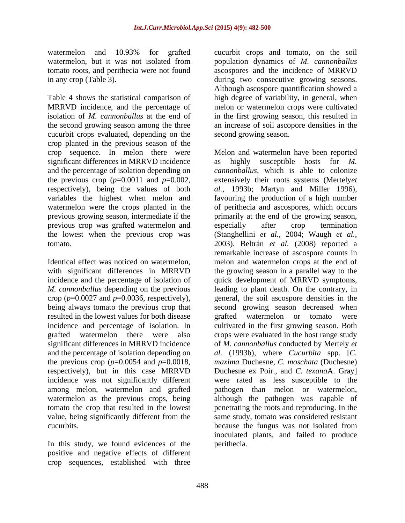Table 4 shows the statistical comparison of MRRVD incidence, and the percentage of melon or watermelon crops were cultivated isolation of *M. cannonballus* at the end of in the first growing season, this resulted in the second growing season among the three an increase of soil ascopore densities in the cucurbit crops evaluated, depending on the crop planted in the previous season of the significant differences in MRRVD incidence and the percentage of isolation depending on the previous crop  $(p=0.0011$  and  $p=0.002$ , previous crop was grafted watermelon and especially after crop termination

incidence and the percentage of isolation of being always tomato the previous crop that and the percentage of isolation depending on value, being significantly different from the

In this study, we found evidences of the positive and negative effects of different crop sequences, established with three

watermelon and 10.93% for grafted cucurbit crops and tomato, on the soil watermelon, but it was not isolated from population dynamics of *M. cannonballus* tomato roots, and perithecia were not found ascospores and the incidence of MRRVD in any crop (Table 3). during two consecutive growing seasons. Although ascospore quantification showed a high degree of variability, in general, when second growing season.

crop sequence. In melon there were Melon and watermelon have been reported respectively), being the values of both *al.,* 1993b; Martyn and Miller 1996), variables the highest when melon and favouring the production of a high number watermelon were the crops planted in the of perithecia and ascospores, which occurs previous growing season, intermediate if the primarily at the end of the growing season, the lowest when the previous crop was (Stanghellini *et al.,* 2004; Waugh *et al.,* tomato. 2003). Beltrán *et al.* (2008) reported a Identical effect was noticed on watermelon, melon and watermelon crops at the end of with significant differences in MRRVD the growing season in a parallel way to the M. *cannonballus* depending on the previous leading to plant death. On the contrary, in crop  $(p=0.0027$  and  $p=0.0036$ , respectively), general, the soil ascospore densities in the resulted in the lowest values for both disease grafted watermelon or tomato were incidence and percentage of isolation. In cultivated in the first growing season. Both grafted watermelon there were also crops were evaluated in the host range study significant differences in MRRVD incidence of *M. cannonballus* conducted by Mertely *et*  the previous crop (*p*=0.0054 and *p*=0.0018, *maxima* Duchesne, *C. moschata* (Duchesne) respectively), but in this case MRRVD Duchesne ex Poir., and *C. texana*A. Gray] incidence was not significantly different were rated as less susceptible to the among melon, watermelon and grafted pathogen than melon or watermelon, watermelon as the previous crops, being although the pathogen was capable of tomato the crop that resulted in the lowest penetrating the roots and reproducing. In the cucurbits. because the fungus was not isolated from highly susceptible hosts for *M*. *cannonballus*, which is able to colonize extensively their roots systems (Mertely*et*  especially after crop termination remarkable increase of ascospore counts in quick development of MRRVD symptoms, second growing season decreased when *al.* (1993b), where *Cucurbita* spp. [*C.*  same study, tomato was considered resistant inoculated plants, and failed to produce perithecia.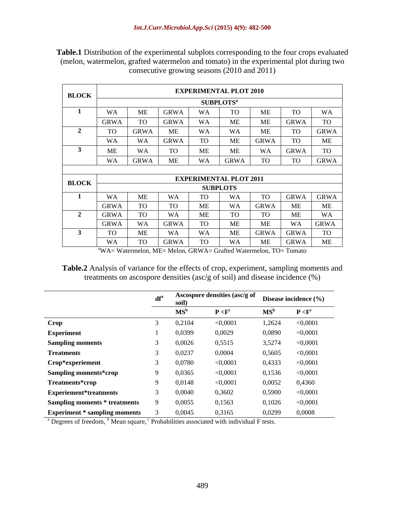| <b>BLOCK</b>            |                             |                               |              | <b>EXPERIMENTAL PLOT 2010</b> |             |             |             |             |
|-------------------------|-----------------------------|-------------------------------|--------------|-------------------------------|-------------|-------------|-------------|-------------|
|                         |                             |                               |              | SUBPLOTS <sup>a</sup>         |             |             |             |             |
|                         | <b>WA</b>                   | ME                            | <b>GRWA</b>  | <b>WA</b>                     | <b>TO</b>   | ME          | <b>TO</b>   | WA          |
|                         | GRWA                        | <b>TO</b>                     | <b>GRWA</b>  | WA                            | ME          | ME          | GRWA        | TO          |
| $\overline{a}$          | $\mathbf{m}$ $\alpha$<br>10 | <b>GRWA</b>                   | ME           | WA                            | <b>WA</b>   | ME          | <b>TO</b>   | <b>GRWA</b> |
|                         | <b>WA</b>                   | WA                            | <b>GRWA</b>  | <b>TO</b>                     | ME          | <b>GRWA</b> | TO          | ME          |
|                         | ME                          | <b>WA</b>                     | $T^{\prime}$ | <b>ME</b>                     | ME          | WA          | <b>GRWA</b> | TO          |
|                         | WA                          | GRWA                          | ME           | WA                            | <b>GRWA</b> | <b>TO</b>   | <b>TO</b>   | <b>GRWA</b> |
|                         |                             |                               |              |                               |             |             |             |             |
| <b>BLOCK</b>            |                             | <b>EXPERIMENTAL PLOT 2011</b> |              |                               |             |             |             |             |
|                         |                             | <b>SUBPLOTS</b>               |              |                               |             |             |             |             |
|                         | WA                          | ME                            | <b>WA</b>    | <b>TO</b>                     | WA          | <b>TO</b>   | <b>GRWA</b> | <b>GRWA</b> |
|                         | GRWA                        | <b>TO</b>                     | $T^{\wedge}$ | ME                            | WA          | <b>GRWA</b> | ME          | ME          |
| $\overline{a}$          | GRWA                        | <b>TO</b>                     | WA           | ME                            | <b>TO</b>   | <b>TO</b>   | ME          | WA          |
|                         | GRWA                        | WA                            | <b>GRWA</b>  | <b>TO</b>                     | ME          | ME          | WA          | <b>GRWA</b> |
| $\overline{\mathbf{a}}$ | $T^{\prime}$<br>$1\cup$     | ME                            | <b>WA</b>    | WA                            | ME          | <b>GRWA</b> | <b>GRWA</b> | <b>TO</b>   |
|                         | <b>WA</b>                   | <b>TO</b>                     | <b>GRWA</b>  | <b>TO</b>                     | <b>WA</b>   | ME          | <b>GRWA</b> | ME          |

**Table.1** Distribution of the experimental subplots corresponding to the four crops evaluated (melon, watermelon, grafted watermelon and tomato) in the experimental plot during two consecutive growing seasons (2010 and 2011)

aWA= Watermelon, ME= Melon, GRWA= Grafted Watermelon, TO= Tomato

**Table.2** Analysis of variance for the effects of crop, experiment, sampling moments and treatments on ascospore densities (asc/g of soil) and disease incidence (%)

|                                      | df <sup>a</sup> | soil)  | Ascospore densities (asc/g of | Disease incidence (%) |                    |
|--------------------------------------|-----------------|--------|-------------------------------|-----------------------|--------------------|
|                                      |                 | $MS^b$ | P < F <sup>c</sup>            | $MS^b$                | P < F <sup>c</sup> |
| Crop                                 |                 | 0,2104 | < 0,0001                      | 1,2624                | < 0,0001           |
| <b>Experiment</b>                    |                 | 0,0399 | 0,0029                        | 0,0890                | < 0,0001           |
| <b>Sampling moments</b>              |                 | 0,0026 | 0,5515                        | 3,5274                | < 0,0001           |
| <b>Treatments</b>                    |                 | 0,0237 | 0,0004                        | 0,5605                | < 0,0001           |
| Crop*experiement                     |                 | 0,0780 | < 0,0001                      | 0,4333                | < 0,0001           |
| <b>Sampling moments*crop</b>         |                 | 0,0365 | < 0,0001                      | 0,1536                | < 0,0001           |
| Treatments*crop                      |                 | 0,0148 | < 0,0001                      | 0,0052                | 0,4360             |
| <b>Experiement*treatments</b>        |                 | 0,0040 | 0,3602                        | 0,5900                | < 0,0001           |
| <b>Sampling moments * treatments</b> |                 | 0,0055 | 0,1563                        | 0,1026                | < 0,0001           |
| <b>Experiment * sampling moments</b> |                 | 0,0045 | 0,3165                        | 0,0299                | 0,0008             |

<sup>a</sup> Degrees of freedom, <sup>b</sup> Mean square, <sup>c</sup> Probabilities associated with individual F tests.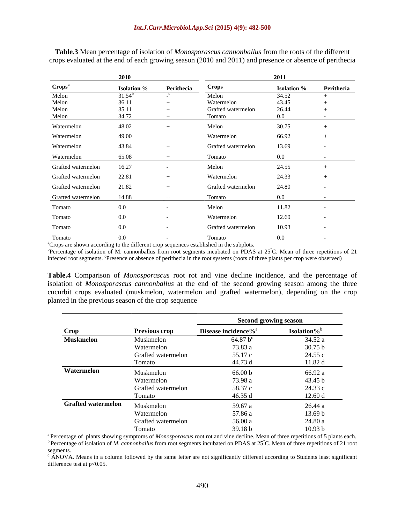|                          | 2010               |                        |                    | 2011                          |                                              |
|--------------------------|--------------------|------------------------|--------------------|-------------------------------|----------------------------------------------|
| Crops <sup>a</sup>       | <b>Isolation</b> % | Perithecia             | Crops              | <b>Isolation %</b> Perithecia |                                              |
| Melon                    | $31.54^b$          |                        | Melon              | 34.52                         |                                              |
| Melon                    | 36.11              |                        | Watermelon         | 43.45                         |                                              |
| Melon                    | 35.11              | $+$                    | Grafted watermelon | 26.44                         |                                              |
| Melon                    | 34.72              |                        | Tomato             | $0.0\,$                       | $\sim$ $-$                                   |
| Watermelon               | 48.02              | $+$                    | Melon              | 30.75                         | $+$                                          |
| Watermelon               | 49.00              |                        | Watermelon         | 66.92                         |                                              |
| Watermelon               | 43.84              |                        | Grafted watermelon | 13.69                         |                                              |
|                          |                    |                        |                    |                               |                                              |
| Watermelon               | 65.08              | $+$ $+$                | Tomato             | 0.0                           | the control of the control of the control of |
| Grafted watermelon       | 16.27              |                        | Melon              | 24.55                         |                                              |
| Grafted watermelon       | 22.81              |                        | Watermelon         | 24.33                         |                                              |
| Grafted watermelon       | 21.82              |                        | Grafted watermelon | 24.80                         |                                              |
|                          |                    |                        |                    |                               |                                              |
| Grafted watermelon 14.88 |                    |                        | Tomato             | 0.0                           | the control of the state of the con-         |
| Tomato                   | $0.0\,$            | $\sim$ $-$             | Melon              | 11.82                         |                                              |
| Tomato                   | $0.0\,$            | $\sim$ 100 $-$ 100 $-$ | Watermelon         | 12.60                         | $\sim$ $-$                                   |
| Tomato                   | 0.0                |                        | Grafted watermelon | 10.93                         |                                              |
|                          |                    |                        |                    |                               |                                              |
| Tomato                   | $0.0\,$            |                        | Tomato             | $0.0\,$                       |                                              |

**Table.3** Mean percentage of isolation of *Monosporascus cannonballus* from the roots of the different crops evaluated at the end of each growing season (2010 and 2011) and presence or absence of perithecia

<sup>a</sup>Crops are shown according to the different crop sequences established in the subplots.<br><sup>b</sup>Percentage of isolation of M. cannonballus from root segments incubated on PDAS at 25<sup>°</sup>C. Mean of three repetitions of 21 infected root segments. <sup>c</sup>Presence or absence of perithecia in the root systems (roots of three plants per crop were observed)

**Table.4** Comparison of *Monosporascus* root rot and vine decline incidence, and the percentage of isolation of *Monosporascus cannonballus* at the end of the second growing season among the three cucurbit crops evaluated (muskmelon, watermelon and grafted watermelon), depending on the crop planted in the previous season of the crop sequence

|                                           |                      | <b>Second growing season</b>    |                         |  |  |
|-------------------------------------------|----------------------|---------------------------------|-------------------------|--|--|
| Crop<br>the control of the control of the | <b>Previous crop</b> | Disease incidence% <sup>a</sup> | Isolation% <sup>b</sup> |  |  |
| <b>Muskmelon</b>                          | Muskmelon            | 64.87 $b^{c}$                   | 34.52 a                 |  |  |
|                                           | Watermelon           | 73.83 a                         | 30.75 b                 |  |  |
|                                           | Grafted watermelon   | 55.17 c                         | 24.55 c                 |  |  |
|                                           | Tomato               | 44.73 d                         | 11.82 d                 |  |  |
| Watermelon                                | Muskmelon            | 66.00 b                         | 66.92 a                 |  |  |
|                                           | Watermelon           | 73.98 a                         | 43.45 b                 |  |  |
|                                           | Grafted watermelon   | 58.37 c                         | 24.33 c                 |  |  |
|                                           | Tomato               | 46.35 d                         | 12.60 d                 |  |  |
| <b>Grafted watermelon</b>                 | Muskmelon            | 59.67 a                         | 26.44 a                 |  |  |
|                                           | Watermelon           | 57.86 a                         | 13.69 b                 |  |  |
|                                           | Grafted watermelon   | 56.00 a                         | 24.80 a                 |  |  |
|                                           | Tomato               | 39.18 b                         | 10.93 <sub>b</sub>      |  |  |

<sup>a</sup> Percentage of plants showing symptoms of *Monosporascus* root rot and vine decline. Mean of three repetitions of 5 plants each.<br><sup>b</sup> Percentage of isolation of *M. cannonballus* from root segments incubated on PDAS at

 $\epsilon$  ANOVA. Means in a column followed by the same letter are not significantly different according to Students least significant difference test at p<0.05.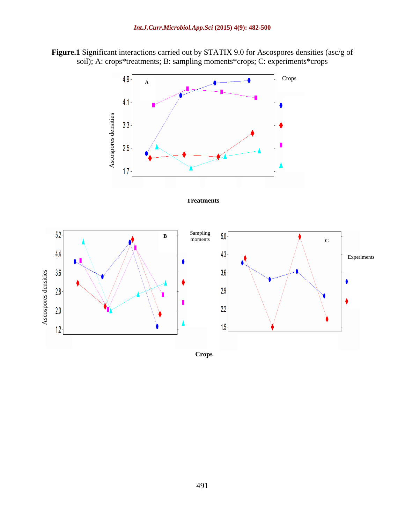**Figure.1** Significant interactions carried out by STATIX 9.0 for Ascospores densities (asc/g of soil); A: crops\*treatments; B: sampling moments\*crops; C: experiments\*crops



**Crops**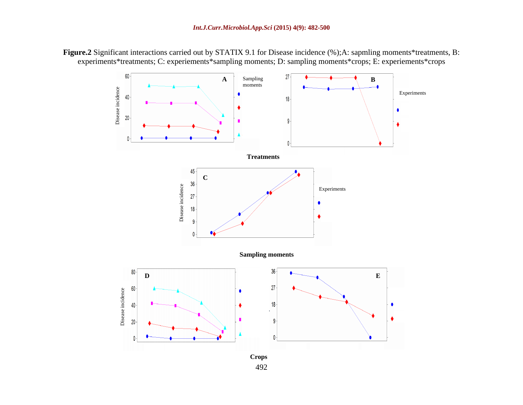**Figure.2** Significant interactions carried out by STATIX 9.1 for Disease incidence (%);A: sapmling moments\*treatments, B: experiments\*treatments; C: experiements\*sampling moments; D: sampling moments\*crops; E: experiements\*crops

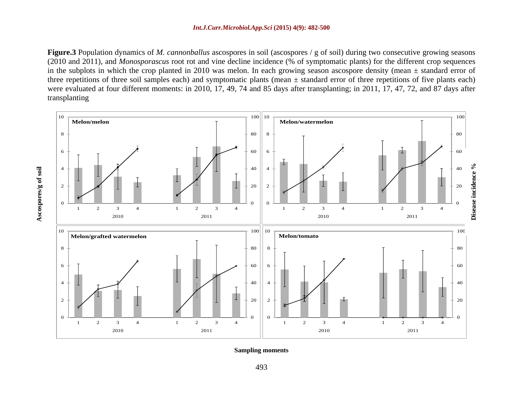### *Int.J.Curr.Microbiol.App.Sci* **(2015) 4(9): 482-500**

**Figure.3** Population dynamics of *M. cannonballus* ascospores in soil (ascospores / g of soil) during two consecutive growing seasons (2010 and 2011), and *Monosporascus* root rot and vine decline incidence (% of symptomatic plants) for the different crop sequences in the subplots in which the crop planted in 2010 was melon. In each growing season ascospore density (mean  $\pm$  standard error of three repetitions of three soil samples each) and symptomatic plants (mean  $\pm$  standard error of three repetitions of five plants each) were evaluated at four different moments: in 2010, 17, 49, 74 and 85 days after transplanting; in 2011, 17, 47, 72, and 87 days after transplanting

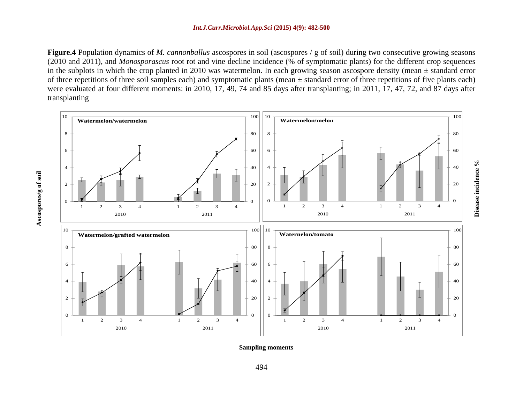### *Int.J.Curr.Microbiol.App.Sci* **(2015) 4(9): 482-500**

**Figure.4** Population dynamics of *M. cannonballus* ascospores in soil (ascospores / g of soil) during two consecutive growing seasons (2010 and 2011), and *Monosporascus* root rot and vine decline incidence (% of symptomatic plants) for the different crop sequences in the subplots in which the crop planted in 2010 was watermelon. In each growing season ascospore density (mean  $\pm$  standard error of three repetitions of three soil samples each) and symptomatic plants (mean  $\pm$  standard error of three repetitions of five plants each) were evaluated at four different moments: in 2010, 17, 49, 74 and 85 days after transplanting; in 2011, 17, 47, 72, and 87 days after transplanting



**Sampling moments**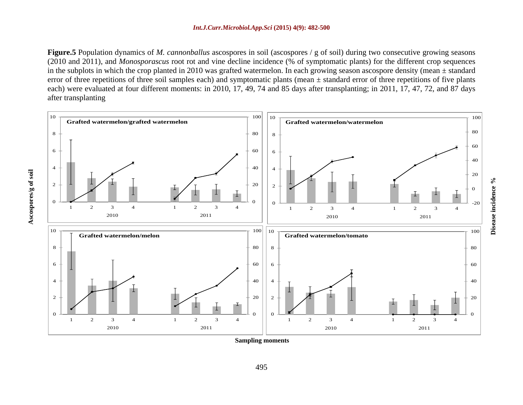**Figure.5** Population dynamics of *M. cannonballus* ascospores in soil (ascospores / g of soil) during two consecutive growing seasons (2010 and 2011), and *Monosporascus* root rot and vine decline incidence (% of symptomatic plants) for the different crop sequences in the subplots in which the crop planted in 2010 was grafted watermelon. In each growing season ascospore density (mean ± standard error of three repetitions of three soil samples each) and symptomatic plants (mean  $\pm$  standard error of three repetitions of five plants each) were evaluated at four different moments: in 2010, 17, 49, 74 and 85 days after transplanting; in 2011, 17, 47, 72, and 87 days after transplanting



**Disease incidence %**

**Sampling moments**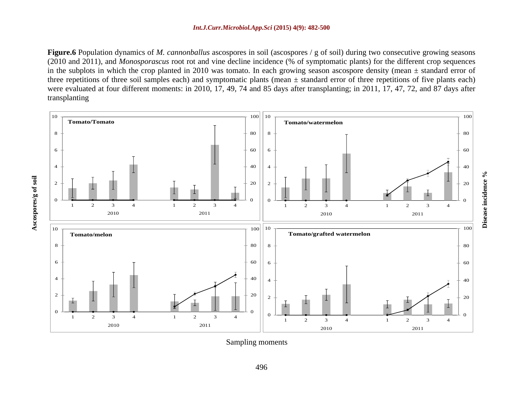**Figure.6** Population dynamics of *M. cannonballus* ascospores in soil (ascospores / g of soil) during two consecutive growing seasons (2010 and 2011), and *Monosporascus* root rot and vine decline incidence (% of symptomatic plants) for the different crop sequences in the subplots in which the crop planted in 2010 was tomato. In each growing season ascospore density (mean ± standard error of three repetitions of three soil samples each) and symptomatic plants (mean  $\pm$  standard error of three repetitions of five plants each) were evaluated at four different moments: in 2010, 17, 49, 74 and 85 days after transplanting; in 2011, 17, 47, 72, and 87 days after transplanting

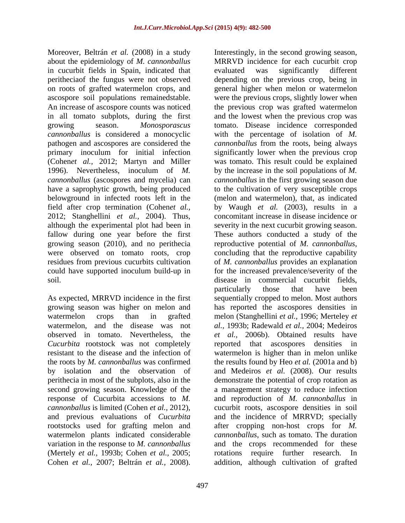about the epidemiology of *M. cannonballus* in cucurbit fields in Spain, indicated that evaluated was significantly different growing season (2010), and no perithecia reproductive potential of *M. cannonballus*, were observed on tomato roots, crop concluding that the reproductive capability could have supported inoculum build-up in

As expected, MRRVD incidence in the first perithecia in most of the subplots, also in the rootstocks used for grafting melon and watermelon plants indicated considerable (Mertely *et al.,* 1993b; Cohen *et al.,* 2005; Cohen *et al.,* 2007; Beltrán *et al.,* 2008). addition, although cultivation of grafted

Moreover, Beltrán *et al.* (2008) in a study Interestingly, in the second growing season, peritheciaof the fungus were not observed depending on the previous crop, being in on roots of grafted watermelon crops, and general higher when melon or watermelon ascospore soil populations remainedstable. were the previous crops, slightly lower when An increase of ascospore counts was noticed the previous crop was grafted watermelon in all tomato subplots, during the first and the lowest when the previous crop was growing season. *Monosporascus*  tomato. Disease incidence corresponded *cannonballus* is considered a monocyclic with the percentage of isolation of *M.*  pathogen and ascospores are considered the *cannonballus* from the roots, being always primary inoculum for initial infection significantly lower when the previous crop (Cohen*et al.,* 2012; Martyn and Miller was tomato. This result could be explained 1996). Nevertheless, inoculum of *M.*  by the increase in the soil populations of *M. cannonballus* (ascospores and mycelia) can *cannonballus* in the first growing season due have a saprophytic growth, being produced to the cultivation of very susceptible crops belowground in infected roots left in the (melon and watermelon), that, as indicated field after crop termination (Cohen*et al.,* by Waugh *et al.* (2003), results in a 2012; Stanghellini *et al.,* 2004). Thus, concomitant increase in disease incidence or although the experimental plot had been in severity in the next cucurbit growing season. fallow during one year before the first These authors conducted a study of the residues from previous cucurbits cultivation of *M. cannonballus* provides an explanation soil. disease in commercial cucurbit fields, growing season was higher on melon and has reported the ascospores densities in watermelon crops than in grafted melon (Stanghellini *et al.,* 1996; Merteley *et*  watermelon, and the disease was not *al.,* 1993b; Radewald *et al.,* 2004; Medeiros observed in tomato. Nevertheless, the *et al.,* 2006b). Obtained results have *Cucurbita* rootstock was not completely reported that ascospores densities in resistant to the disease and the infection of watermelon is higher than in melon unlike the roots by *M. cannonballus* was confirmed the results found by Heo *et al.* (2001a and b) by isolation and the observation of and Medeiros*et al.* (2008). Our results second growing season. Knowledge of the a management strategy to reduce infection response of Cucurbita accessions to *M.*  and reproduction of *M. cannonballus* in *cannonballus* is limited (Cohen *et al.,* 2012), cucurbit roots, ascospore densities in soil and previous evaluations of *Cucurbita* and the incidence of MRRVD; specially variation in the response to *M. cannonballus* and the crops recommended for these MRRVD incidence for each cucurbit crop evaluated was significantly different reproductive potential of *M. cannonballus*, concluding that the reproductive capability for the increased prevalence/severity of the particularly those that have been sequentially cropped to melon. Most authors demonstrate the potential of crop rotation as after cropping non-host crops for *M. cannonballus*, such as tomato. The duration rotations require further research.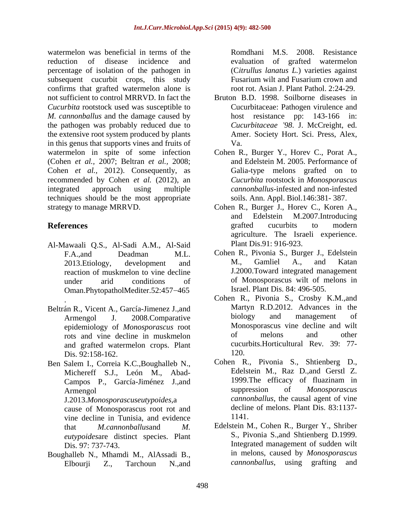watermelon was beneficial in terms of the reduction of disease incidence and evaluation of grafted watermelon percentage of isolation of the pathogen in subsequent cucurbit crops, this study Fusarium wilt and Fusarium crown and confirms that grafted watermelon alone is not sufficient to control MRRVD. In fact the Bruton B.D. 1998. Soilborne diseases in *Cucurbita* rootstock used was susceptible to *M. cannonballus* and the damage caused by the pathogen was probably reduced due to the extensive root system produced by plants in this genus that supports vines and fruits of Va. watermelon in spite of some infection Cohen R., Burger Y., Horev C., Porat A., (Cohen *et al.,* 2007; Beltran *et al.,* 2008; Cohen *et al.,* 2012). Consequently, as recommended by Cohen *et al.* (2012), an integrated approach using multiple *cannonballus*-infested and non-infested techniques should be the most appropriate strategy to manage MRRVD. Cohen R., Burger J., Horev C., Koren A.,

- Al-Mawaali Q.S., Al-Sadi A.M., Al-Said reaction of muskmelon to vine decline Oman.PhytopatholMediter.52:457-465
- Beltrán R., Vicent A., García-Jimenez J., and<br>Armengol I 2008 Comparative biology and management of rots and vine decline in muskmelon and grafted watermelon crops. Plant cucu<br>Dis 92:158-162 120. Dis. 92:158-162.
- 

J.2013.*Monosporascuseutypoides*,a cause of Monosporascus root rot and<br>vine decline in Tunisia, and evidence and 1141 vine decline in Tunisia, and evidence *eutypoides*are distinct species. Plant

Elbourji Z., Tarchoun N.,and cannonballus, using grafting and

Romdhani M.S.2008. Resistance (C*itrullus lanatus L.*) varieties against Fusarium wilt and Fusarium crown and root rot. Asian J. Plant Pathol. 2:24-29.

- Cucurbitaceae: Pathogen virulence and host resistance pp: 143-166 in: *Cucurbitaceae 98*. J. McCreight, ed. Amer. Society Hort. Sci. Press, Alex, Va.
- and Edelstein M. 2005. Performance of Galia-type melons grafted on to *Cucurbita* rootstock in *Monosporascus*  soils. Ann. Appl. Biol.146:381- 387.
- **References** and **References** and **References** and **References** and **References** and **References** and **References** and Edelstein M.2007.Introducing grafted cucurbits to modern agriculture. The Israeli experience. Plant Dis.91: 916-923.
	- F.A.,and Deadman M.L. Cohen R., Pivonia S., Burger J., Edelstein 2013.Etiology, development and M., Gamliel A., and Katan under arid conditions of of Monosporascus wilt of melons in M., Gamliel A., and Katan J.2000.Toward integrated management Israel. Plant Dis. 84: 496-505.
	- . Cohen R., Pivonia S., Crosby K.M.,and Armengol J. 2008. Comparative biology and management of epidemiology of *Monosporascus* root Monosporascus vine decline and wilt<br>rots and vine decline in muskmelon of melons and other Martyn R.D.2012. Advances in the biology and management of Monosporascus vine decline and wilt of melons and other cucurbits.Horticultural Rev*.* 39: 77- 120.
- Ben Salem I., Correia K.C.,Boughalleb N., Cohen R., Pivonia S., Shtienberg D., Michereff S.J., León M., Abad- Edelstein M., Raz D.,and Gerstl Z. Campos P., García-Jiménez J., and 1999. The efficacy of fluazinam in Armenool and Suppression of *Monosporascus* Armengol suppression of *Monosporascus* Cohen R., Pivonia S., Shtienberg D., Edelstein M., Raz D.,and Gerstl Z. 1999.The efficacy of fluazinam in suppression of *Monosporascus cannonballus*, the causal agent of vine decline of melons. Plant Dis. 83:1137- 1141.
- that *M.cannonballus*and *M.*  Edelstein M., Cohen R., Burger Y., Shriber Dis. 97: 737-743. Integrated management of sudden wilt Boughalleb N., Mhamdi M., AlAssadi B., in melons, caused by *Monosporascus*<br>Elbourii Z Tarchoun N and *cannonballus*, using grafting and S., Pivonia S.,and Shtienberg D.1999. in melons, caused by *Monosporascus cannonballus*, using grafting and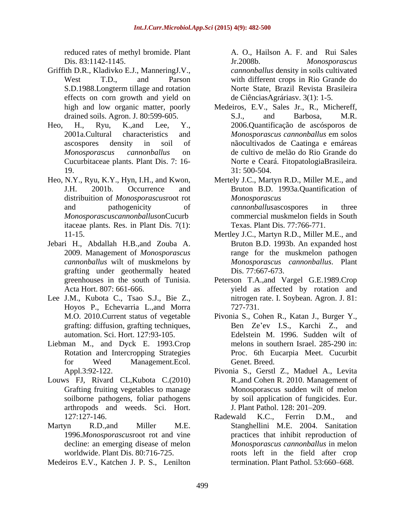reduced rates of methyl bromide. Plant Dis. 83:1142-1145. Tr. 2008b. Monosporascus

- Griffith D.R., Kladivko E.J., ManneringJ.V., effects on corn growth and yield on
- 19. 31: 500-504.
- Heo, N.Y., Ryu, K.Y., Hyn, I.H., and Kwon, distribuition of *Monosporascus*root rot *Monosporascuscannonballus*onCucurb itaceae plants. Res. in Plant Dis. 7(1):
- Jebari H., Abdallah H.B.,and Zouba A. grafting under geothermally heated
- Lee J.M., Kubota C., Tsao S.J., Bie Z., Hoyos P., Echevarria L.,and Morra grafting: diffusion, grafting techniques,
- Liebman M., and Dyck E. 1993.Crop
- Louws FJ, Rivard CL,Kubota C.(2010) arthropods and weeds. Sci. Hort.
- 
- Medeiros E.V., Katchen J. P. S., Lenilton

West T.D., and Parson with different crops in Rio Grande do S.D.1988.Longterm tillage and rotation A. O., Hailson A. F. and Rui Sales Jr.2008b. *Monosporascus cannonballus* density in soils cultivated Norte State, Brazil Revista Brasileira de CiênciasAgráriasv. 3(1): 1-5.

high and low organic matter, poorly Medeiros, E.V., Sales Jr., R., Michereff, drained soils. Agron. J. 80:599-605. S.J., and Barbosa, M.R. Heo, H., Ryu, K.,and Lee, Y., 2006.Quantificação de ascósporos de 2001a.Cultural characteristics and *Monosporascus cannonballus* em solos ascospores density in soil of nãocultivados de Caatinga e emáreas *Monosporascus cannonballus* on de cultivo de melão do Rio Grande do Cucurbitaceae plants. Plant Dis. 7: 16- Norte e Ceará. FitopatologiaBrasileira. S.J., and Barbosa, M.R. *Monosporascus cannonballus* em solos 31: 500-504.

J.H. 2001b. Occurrence and Bruton B.D. 1993a.Quantification of and pathogenicity of cannonballusas cospores in three Mertely J.C., Martyn R.D., Miller M.E., and *Monosporascus cannonballus*ascospores in three commercial muskmelon fields in South Texas. Plant Dis. 77:766-771.

- 11-15. Mertley J.C., Martyn R.D., Miller M.E., and 2009. Management of *Monosporascus*  range for the muskmelon pathogen *cannonballus* wilt of muskmelons by *Monosporascus cannonballus*. Plant Bruton B.D. 1993b. An expanded host Dis. 77:667-673.
- greenhouses in the south of Tunisia. Peterson T.A.,and Vargel G.E.1989.Crop Acta Hort. 807: 661-666. yield as affected by rotation and nitrogen rate. I. Soybean. Agron. J. 81: 727-731.
- M.O. 2010.Current status of vegetable Pivonia S., Cohen R., Katan J., Burger Y., automation. Sci. Hort. 127:93-105. Edelstein M. 1996. Sudden wilt of Rotation and Intercropping Strategies Proc. 6th Eucarpia Meet. Cucurbit for Weed Management.Ecol. Genet. Breed. Ben Ze'ev I.S., Karchi Z., and melons in southern Israel. 285-290 in: Genet. Breed.
- Appl.3:92-122. Pivonia S., Gerstl Z., Maduel A., Levita Grafting fruiting vegetables to manage Monosporascus sudden wilt of melon soilborne pathogens, foliar pathogens by soil application of fungicides. Eur. R.,and Cohen R. 2010. Management of J. Plant Pathol. 128: 201–209.
- 127:127-146. **Radewald K.C., Ferrin D.M., and** Martyn R.D.,and Miller M.E. Stanghellini M.E. 2004. Sanitation 1996.*Monosporascus*root rot and vine practices that inhibit reproduction of decline: an emerging disease of melon *Monosporascus cannonballus* in melon worldwide. Plant Dis. 80:716-725. roots left in the field after crop Radewald K.C., Ferrin D.M., and termination. Plant Pathol. 53:660–668.